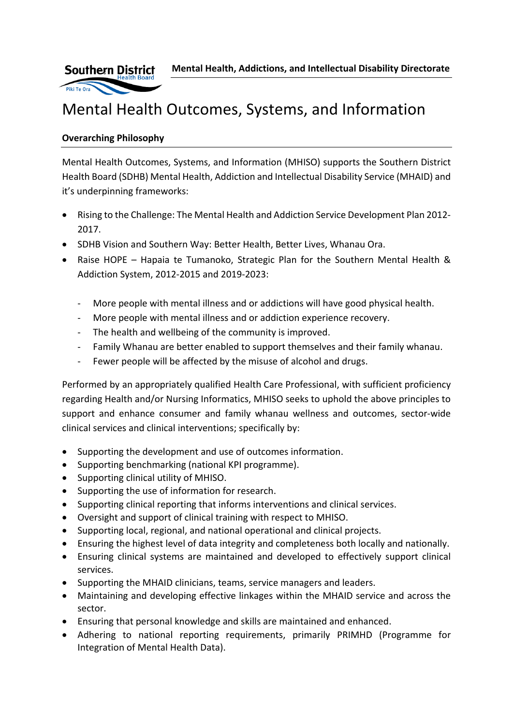**Mental Health, Addictions, and Intellectual Disability Directorate**



# Mental Health Outcomes, Systems, and Information

# **Overarching Philosophy**

Mental Health Outcomes, Systems, and Information (MHISO) supports the Southern District Health Board (SDHB) Mental Health, Addiction and Intellectual Disability Service (MHAID) and it's underpinning frameworks:

- Rising to the Challenge: The Mental Health and Addiction Service Development Plan 2012- 2017.
- SDHB Vision and Southern Way: Better Health, Better Lives, Whanau Ora.
- Raise HOPE Hapaia te Tumanoko, Strategic Plan for the Southern Mental Health & Addiction System, 2012-2015 and 2019-2023:
	- More people with mental illness and or addictions will have good physical health.
	- More people with mental illness and or addiction experience recovery.
	- The health and wellbeing of the community is improved.
	- Family Whanau are better enabled to support themselves and their family whanau.
	- Fewer people will be affected by the misuse of alcohol and drugs.

Performed by an appropriately qualified Health Care Professional, with sufficient proficiency regarding Health and/or Nursing Informatics, MHISO seeks to uphold the above principles to support and enhance consumer and family whanau wellness and outcomes, sector-wide clinical services and clinical interventions; specifically by:

- Supporting the development and use of outcomes information.
- Supporting benchmarking (national KPI programme).
- Supporting clinical utility of MHISO.
- Supporting the use of information for research.
- Supporting clinical reporting that informs interventions and clinical services.
- Oversight and support of clinical training with respect to MHISO.
- Supporting local, regional, and national operational and clinical projects.
- Ensuring the highest level of data integrity and completeness both locally and nationally.
- Ensuring clinical systems are maintained and developed to effectively support clinical services.
- Supporting the MHAID clinicians, teams, service managers and leaders.
- Maintaining and developing effective linkages within the MHAID service and across the sector.
- Ensuring that personal knowledge and skills are maintained and enhanced.
- Adhering to national reporting requirements, primarily PRIMHD (Programme for Integration of Mental Health Data).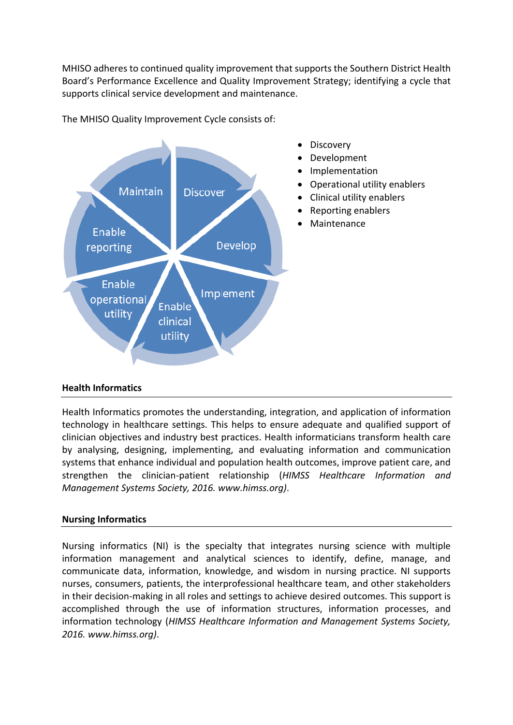MHISO adheres to continued quality improvement that supports the Southern District Health Board's Performance Excellence and Quality Improvement Strategy; identifying a cycle that supports clinical service development and maintenance.





## **Health Informatics**

Health Informatics promotes the understanding, integration, and application of information technology in healthcare settings. This helps to ensure adequate and qualified support of clinician objectives and industry best practices. Health informaticians transform health care by analysing, designing, implementing, and evaluating information and communication systems that enhance individual and population health outcomes, improve patient care, and strengthen the clinician-patient relationship (*HIMSS Healthcare Information and Management Systems Society, 2016. www.himss.org)*.

## **Nursing Informatics**

Nursing informatics (NI) is the specialty that integrates nursing science with multiple information management and analytical sciences to identify, define, manage, and communicate data, information, knowledge, and wisdom in nursing practice. NI supports nurses, consumers, patients, the interprofessional healthcare team, and other stakeholders in their decision-making in all roles and settings to achieve desired outcomes. This support is accomplished through the use of information structures, information processes, and information technology (*HIMSS Healthcare Information and Management Systems Society, 2016. [www.himss.org\)](http://www.himss.org/)*.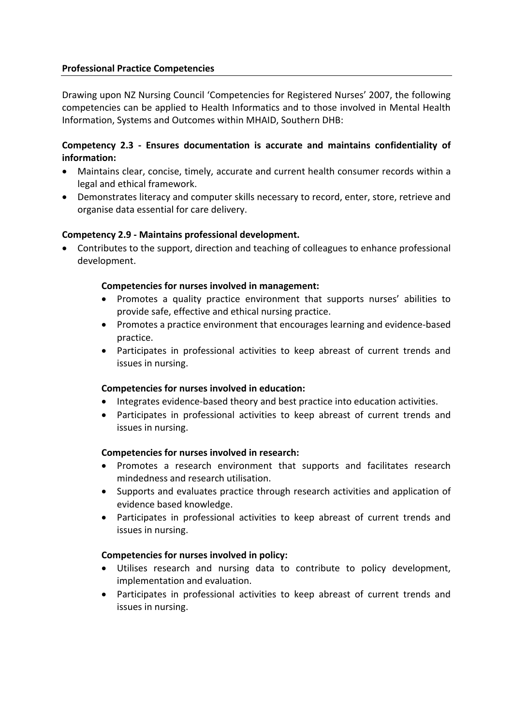## **Professional Practice Competencies**

Drawing upon NZ Nursing Council 'Competencies for Registered Nurses' 2007, the following competencies can be applied to Health Informatics and to those involved in Mental Health Information, Systems and Outcomes within MHAID, Southern DHB:

## **Competency 2.3 - Ensures documentation is accurate and maintains confidentiality of information:**

- Maintains clear, concise, timely, accurate and current health consumer records within a legal and ethical framework.
- Demonstrates literacy and computer skills necessary to record, enter, store, retrieve and organise data essential for care delivery.

## **Competency 2.9 - Maintains professional development.**

• Contributes to the support, direction and teaching of colleagues to enhance professional development.

#### **Competencies for nurses involved in management:**

- Promotes a quality practice environment that supports nurses' abilities to provide safe, effective and ethical nursing practice.
- Promotes a practice environment that encourages learning and evidence-based practice.
- Participates in professional activities to keep abreast of current trends and issues in nursing.

#### **Competencies for nurses involved in education:**

- Integrates evidence-based theory and best practice into education activities.
- Participates in professional activities to keep abreast of current trends and issues in nursing.

## **Competencies for nurses involved in research:**

- Promotes a research environment that supports and facilitates research mindedness and research utilisation.
- Supports and evaluates practice through research activities and application of evidence based knowledge.
- Participates in professional activities to keep abreast of current trends and issues in nursing.

#### **Competencies for nurses involved in policy:**

- Utilises research and nursing data to contribute to policy development, implementation and evaluation.
- Participates in professional activities to keep abreast of current trends and issues in nursing.